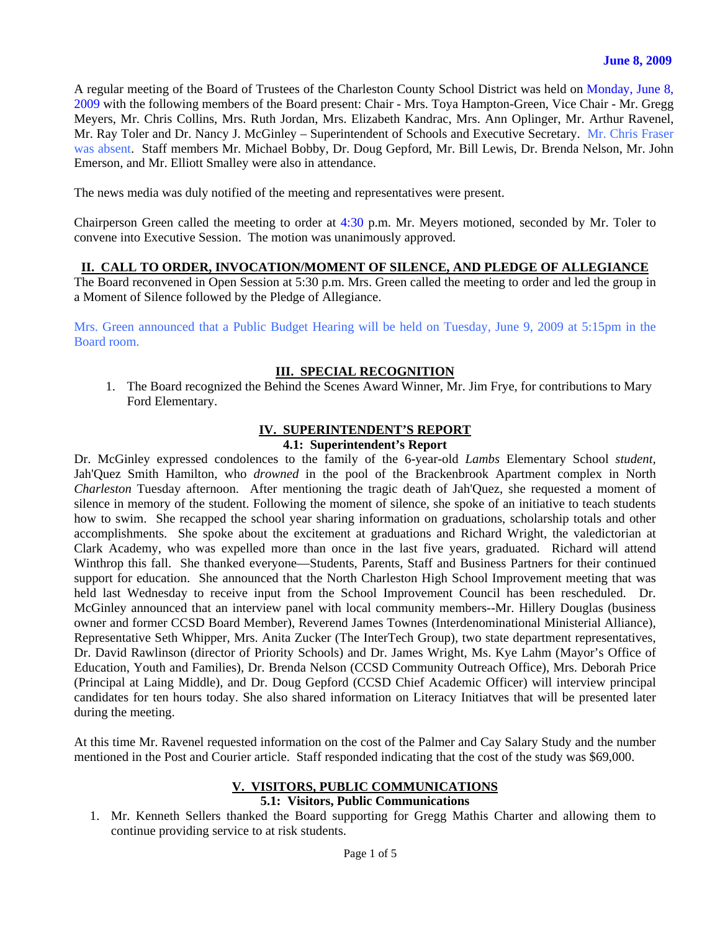A regular meeting of the Board of Trustees of the Charleston County School District was held on Monday, June 8, 2009 with the following members of the Board present: Chair - Mrs. Toya Hampton-Green, Vice Chair - Mr. Gregg Meyers, Mr. Chris Collins, Mrs. Ruth Jordan, Mrs. Elizabeth Kandrac, Mrs. Ann Oplinger, Mr. Arthur Ravenel, Mr. Ray Toler and Dr. Nancy J. McGinley – Superintendent of Schools and Executive Secretary. Mr. Chris Fraser was absent. Staff members Mr. Michael Bobby, Dr. Doug Gepford, Mr. Bill Lewis, Dr. Brenda Nelson, Mr. John Emerson, and Mr. Elliott Smalley were also in attendance.

The news media was duly notified of the meeting and representatives were present.

Chairperson Green called the meeting to order at 4:30 p.m. Mr. Meyers motioned, seconded by Mr. Toler to convene into Executive Session. The motion was unanimously approved.

#### **II. CALL TO ORDER, INVOCATION/MOMENT OF SILENCE, AND PLEDGE OF ALLEGIANCE**

The Board reconvened in Open Session at 5:30 p.m. Mrs. Green called the meeting to order and led the group in a Moment of Silence followed by the Pledge of Allegiance.

Mrs. Green announced that a Public Budget Hearing will be held on Tuesday, June 9, 2009 at 5:15pm in the Board room.

#### **III. SPECIAL RECOGNITION**

1. The Board recognized the Behind the Scenes Award Winner, Mr. Jim Frye, for contributions to Mary Ford Elementary.

#### **IV. SUPERINTENDENT'S REPORT**

#### **4.1: Superintendent's Report**

Dr. McGinley expressed condolences to the family of the 6-year-old *Lambs* Elementary School *student,* Jah'Quez Smith Hamilton, who *drowned* in the pool of the Brackenbrook Apartment complex in North *Charleston* Tuesday afternoon. After mentioning the tragic death of Jah'Quez, she requested a moment of silence in memory of the student. Following the moment of silence, she spoke of an initiative to teach students how to swim. She recapped the school year sharing information on graduations, scholarship totals and other accomplishments. She spoke about the excitement at graduations and Richard Wright, the valedictorian at Clark Academy, who was expelled more than once in the last five years, graduated. Richard will attend Winthrop this fall. She thanked everyone—Students, Parents, Staff and Business Partners for their continued support for education. She announced that the North Charleston High School Improvement meeting that was held last Wednesday to receive input from the School Improvement Council has been rescheduled. Dr. McGinley announced that an interview panel with local community members--Mr. Hillery Douglas (business owner and former CCSD Board Member), Reverend James Townes (Interdenominational Ministerial Alliance), Representative Seth Whipper, Mrs. Anita Zucker (The InterTech Group), two state department representatives, Dr. David Rawlinson (director of Priority Schools) and Dr. James Wright, Ms. Kye Lahm (Mayor's Office of Education, Youth and Families), Dr. Brenda Nelson (CCSD Community Outreach Office), Mrs. Deborah Price (Principal at Laing Middle), and Dr. Doug Gepford (CCSD Chief Academic Officer) will interview principal candidates for ten hours today. She also shared information on Literacy Initiatves that will be presented later during the meeting.

At this time Mr. Ravenel requested information on the cost of the Palmer and Cay Salary Study and the number mentioned in the Post and Courier article. Staff responded indicating that the cost of the study was \$69,000.

#### **V. VISITORS, PUBLIC COMMUNICATIONS**

### **5.1: Visitors, Public Communications**

1. Mr. Kenneth Sellers thanked the Board supporting for Gregg Mathis Charter and allowing them to continue providing service to at risk students.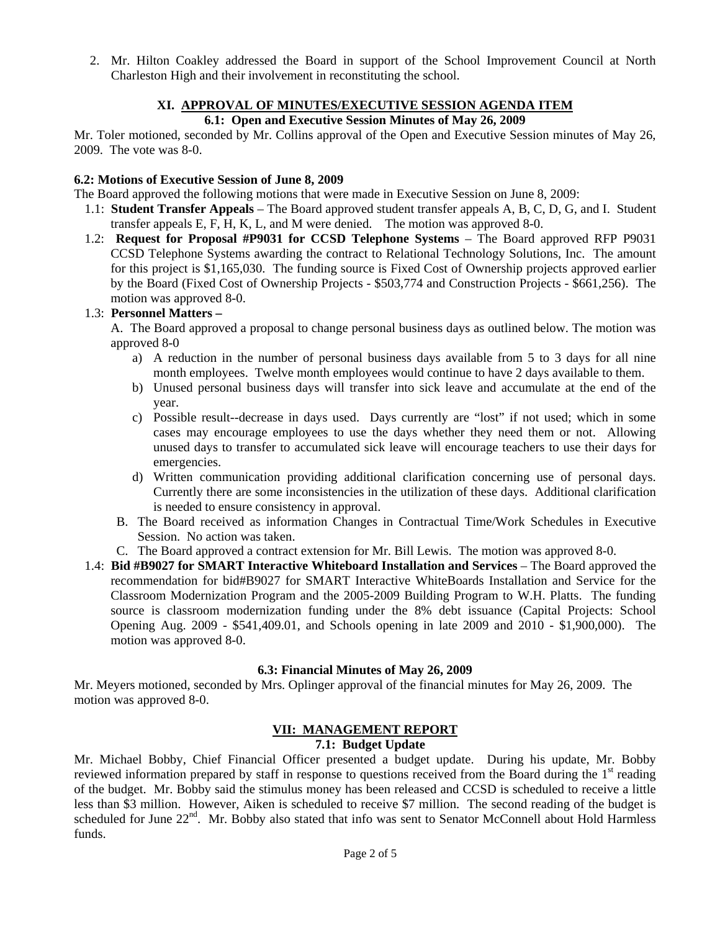2. Mr. Hilton Coakley addressed the Board in support of the School Improvement Council at North Charleston High and their involvement in reconstituting the school.

# **XI. APPROVAL OF MINUTES/EXECUTIVE SESSION AGENDA ITEM**

# **6.1: Open and Executive Session Minutes of May 26, 2009**

Mr. Toler motioned, seconded by Mr. Collins approval of the Open and Executive Session minutes of May 26, 2009. The vote was 8-0.

### **6.2: Motions of Executive Session of June 8, 2009**

The Board approved the following motions that were made in Executive Session on June 8, 2009:

- 1.1: **Student Transfer Appeals** The Board approved student transfer appeals A, B, C, D, G, and I. Student transfer appeals E, F, H, K, L, and M were denied. The motion was approved 8-0.
- 1.2: **Request for Proposal #P9031 for CCSD Telephone Systems**  The Board approved RFP P9031 CCSD Telephone Systems awarding the contract to Relational Technology Solutions, Inc. The amount for this project is \$1,165,030. The funding source is Fixed Cost of Ownership projects approved earlier by the Board (Fixed Cost of Ownership Projects - \$503,774 and Construction Projects - \$661,256). The motion was approved 8-0.

# 1.3: **Personnel Matters –**

 A. The Board approved a proposal to change personal business days as outlined below. The motion was approved 8-0

- a) A reduction in the number of personal business days available from 5 to 3 days for all nine month employees. Twelve month employees would continue to have 2 days available to them.
- b) Unused personal business days will transfer into sick leave and accumulate at the end of the year.
- c) Possible result--decrease in days used. Days currently are "lost" if not used; which in some cases may encourage employees to use the days whether they need them or not. Allowing unused days to transfer to accumulated sick leave will encourage teachers to use their days for emergencies.
- d) Written communication providing additional clarification concerning use of personal days. Currently there are some inconsistencies in the utilization of these days. Additional clarification is needed to ensure consistency in approval.
- B. The Board received as information Changes in Contractual Time/Work Schedules in Executive Session. No action was taken.
- C. The Board approved a contract extension for Mr. Bill Lewis. The motion was approved 8-0.
- 1.4: **Bid #B9027 for SMART Interactive Whiteboard Installation and Services** The Board approved the recommendation for bid#B9027 for SMART Interactive WhiteBoards Installation and Service for the Classroom Modernization Program and the 2005-2009 Building Program to W.H. Platts. The funding source is classroom modernization funding under the 8% debt issuance (Capital Projects: School Opening Aug. 2009 - \$541,409.01, and Schools opening in late 2009 and 2010 - \$1,900,000). The motion was approved 8-0.

# **6.3: Financial Minutes of May 26, 2009**

Mr. Meyers motioned, seconded by Mrs. Oplinger approval of the financial minutes for May 26, 2009. The motion was approved 8-0.

# **VII: MANAGEMENT REPORT**

# **7.1: Budget Update**

Mr. Michael Bobby, Chief Financial Officer presented a budget update. During his update, Mr. Bobby reviewed information prepared by staff in response to questions received from the Board during the 1<sup>st</sup> reading of the budget. Mr. Bobby said the stimulus money has been released and CCSD is scheduled to receive a little less than \$3 million. However, Aiken is scheduled to receive \$7 million. The second reading of the budget is scheduled for June 22<sup>nd</sup>. Mr. Bobby also stated that info was sent to Senator McConnell about Hold Harmless funds.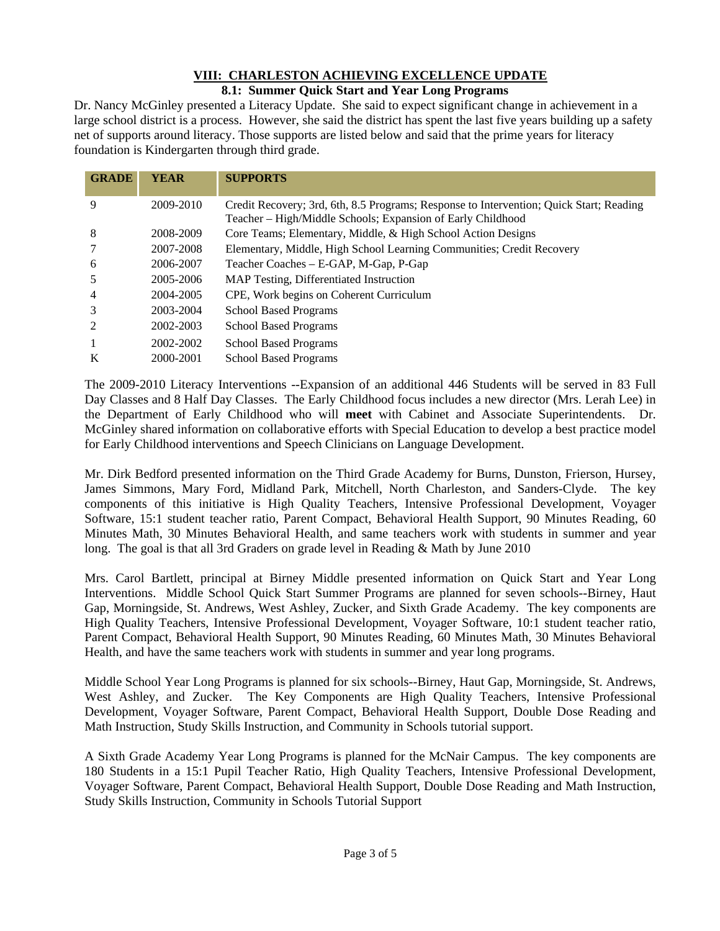#### **VIII: CHARLESTON ACHIEVING EXCELLENCE UPDATE 8.1: Summer Quick Start and Year Long Programs**

Dr. Nancy McGinley presented a Literacy Update. She said to expect significant change in achievement in a large school district is a process. However, she said the district has spent the last five years building up a safety net of supports around literacy. Those supports are listed below and said that the prime years for literacy foundation is Kindergarten through third grade.

| <b>GRADE</b>   | <b>YEAR</b> | <b>SUPPORTS</b>                                                                                                                                        |
|----------------|-------------|--------------------------------------------------------------------------------------------------------------------------------------------------------|
| 9              | 2009-2010   | Credit Recovery; 3rd, 6th, 8.5 Programs; Response to Intervention; Quick Start; Reading<br>Teacher - High/Middle Schools; Expansion of Early Childhood |
| 8              | 2008-2009   | Core Teams; Elementary, Middle, & High School Action Designs                                                                                           |
| 7              | 2007-2008   | Elementary, Middle, High School Learning Communities; Credit Recovery                                                                                  |
| 6              | 2006-2007   | Teacher Coaches - E-GAP, M-Gap, P-Gap                                                                                                                  |
| 5              | 2005-2006   | MAP Testing, Differentiated Instruction                                                                                                                |
| $\overline{4}$ | 2004-2005   | CPE, Work begins on Coherent Curriculum                                                                                                                |
| 3              | 2003-2004   | <b>School Based Programs</b>                                                                                                                           |
| 2              | 2002-2003   | <b>School Based Programs</b>                                                                                                                           |
|                | 2002-2002   | <b>School Based Programs</b>                                                                                                                           |
| K              | 2000-2001   | <b>School Based Programs</b>                                                                                                                           |

The 2009-2010 Literacy Interventions --Expansion of an additional 446 Students will be served in 83 Full Day Classes and 8 Half Day Classes. The Early Childhood focus includes a new director (Mrs. Lerah Lee) in the Department of Early Childhood who will **meet** with Cabinet and Associate Superintendents. Dr. McGinley shared information on collaborative efforts with Special Education to develop a best practice model for Early Childhood interventions and Speech Clinicians on Language Development.

Mr. Dirk Bedford presented information on the Third Grade Academy for Burns, Dunston, Frierson, Hursey, James Simmons, Mary Ford, Midland Park, Mitchell, North Charleston, and Sanders-Clyde. The key components of this initiative is High Quality Teachers, Intensive Professional Development, Voyager Software, 15:1 student teacher ratio, Parent Compact, Behavioral Health Support, 90 Minutes Reading, 60 Minutes Math, 30 Minutes Behavioral Health, and same teachers work with students in summer and year long. The goal is that all 3rd Graders on grade level in Reading & Math by June 2010

Mrs. Carol Bartlett, principal at Birney Middle presented information on Quick Start and Year Long Interventions. Middle School Quick Start Summer Programs are planned for seven schools--Birney, Haut Gap, Morningside, St. Andrews, West Ashley, Zucker, and Sixth Grade Academy. The key components are High Quality Teachers, Intensive Professional Development, Voyager Software, 10:1 student teacher ratio, Parent Compact, Behavioral Health Support, 90 Minutes Reading, 60 Minutes Math, 30 Minutes Behavioral Health, and have the same teachers work with students in summer and year long programs.

Middle School Year Long Programs is planned for six schools--Birney, Haut Gap, Morningside, St. Andrews, West Ashley, and Zucker. The Key Components are High Quality Teachers, Intensive Professional Development, Voyager Software, Parent Compact, Behavioral Health Support, Double Dose Reading and Math Instruction, Study Skills Instruction, and Community in Schools tutorial support.

A Sixth Grade Academy Year Long Programs is planned for the McNair Campus. The key components are 180 Students in a 15:1 Pupil Teacher Ratio, High Quality Teachers, Intensive Professional Development, Voyager Software, Parent Compact, Behavioral Health Support, Double Dose Reading and Math Instruction, Study Skills Instruction, Community in Schools Tutorial Support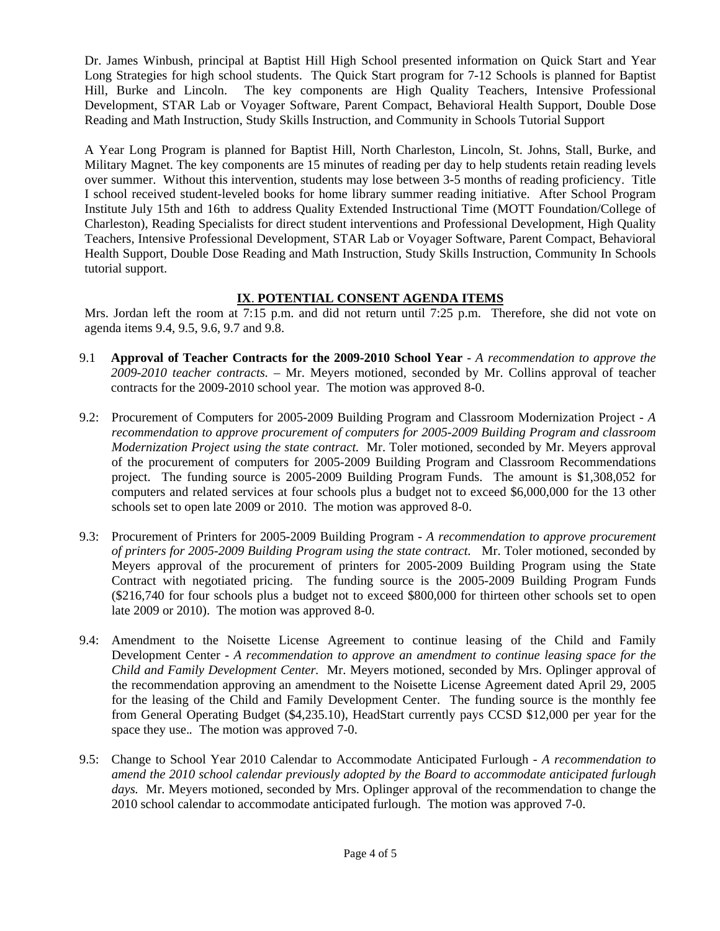Dr. James Winbush, principal at Baptist Hill High School presented information on Quick Start and Year Long Strategies for high school students. The Quick Start program for 7-12 Schools is planned for Baptist Hill, Burke and Lincoln. The key components are High Quality Teachers, Intensive Professional Development, STAR Lab or Voyager Software, Parent Compact, Behavioral Health Support, Double Dose Reading and Math Instruction, Study Skills Instruction, and Community in Schools Tutorial Support

A Year Long Program is planned for Baptist Hill, North Charleston, Lincoln, St. Johns, Stall, Burke, and Military Magnet. The key components are 15 minutes of reading per day to help students retain reading levels over summer. Without this intervention, students may lose between 3-5 months of reading proficiency. Title I school received student-leveled books for home library summer reading initiative. After School Program Institute July 15th and 16th to address Quality Extended Instructional Time (MOTT Foundation/College of Charleston), Reading Specialists for direct student interventions and Professional Development, High Quality Teachers, Intensive Professional Development, STAR Lab or Voyager Software, Parent Compact, Behavioral Health Support, Double Dose Reading and Math Instruction, Study Skills Instruction, Community In Schools tutorial support.

# **IX**. **POTENTIAL CONSENT AGENDA ITEMS**

Mrs. Jordan left the room at 7:15 p.m. and did not return until 7:25 p.m. Therefore, she did not vote on agenda items 9.4, 9.5, 9.6, 9.7 and 9.8.

- 9.1 **Approval of Teacher Contracts for the 2009-2010 School Year** *A recommendation to approve the 2009-2010 teacher contracts. –* Mr. Meyers motioned*,* seconded by Mr. Collins approval of teacher contracts for the 2009-2010 school year*.* The motion was approved 8-0.
- 9.2: Procurement of Computers for 2005-2009 Building Program and Classroom Modernization Project *A recommendation to approve procurement of computers for 2005-2009 Building Program and classroom Modernization Project using the state contract.* Mr. Toler motioned, seconded by Mr. Meyers approval of the procurement of computers for 2005-2009 Building Program and Classroom Recommendations project. The funding source is 2005-2009 Building Program Funds. The amount is \$1,308,052 for computers and related services at four schools plus a budget not to exceed \$6,000,000 for the 13 other schools set to open late 2009 or 2010. The motion was approved 8-0.
- 9.3: Procurement of Printers for 2005-2009 Building Program *A recommendation to approve procurement of printers for 2005-2009 Building Program using the state contract.* Mr. Toler motioned, seconded by Meyers approval of the procurement of printers for 2005-2009 Building Program using the State Contract with negotiated pricing. The funding source is the 2005-2009 Building Program Funds (\$216,740 for four schools plus a budget not to exceed \$800,000 for thirteen other schools set to open late 2009 or 2010). The motion was approved 8-0.
- 9.4: Amendment to the Noisette License Agreement to continue leasing of the Child and Family Development Center *- A recommendation to approve an amendment to continue leasing space for the Child and Family Development Center.* Mr. Meyers motioned, seconded by Mrs. Oplinger approval of the recommendation approving an amendment to the Noisette License Agreement dated April 29, 2005 for the leasing of the Child and Family Development Center. The funding source is the monthly fee from General Operating Budget (\$4,235.10), HeadStart currently pays CCSD \$12,000 per year for the space they use.*.* The motion was approved 7-0.
- 9.5: Change to School Year 2010 Calendar to Accommodate Anticipated Furlough *A recommendation to amend the 2010 school calendar previously adopted by the Board to accommodate anticipated furlough days.* Mr. Meyers motioned, seconded by Mrs. Oplinger approval of the recommendation to change the 2010 school calendar to accommodate anticipated furlough.The motion was approved 7-0.